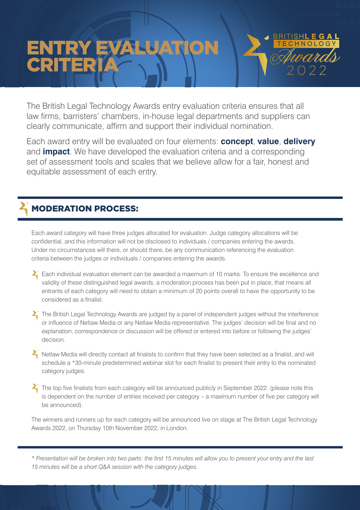# ENTRY EVALUATION CRITERIA 1 N<sup>oquada</sup> HNOLOG

.......

The British Legal Technology Awards entry evaluation criteria ensures that all law firms, barristers' chambers, in-house legal departments and suppliers can clearly communicate, affirm and support their individual nomination.

Each award entry will be evaluated on four elements: **concept**, **value**, **delivery** and **impact**. We have developed the evaluation criteria and a corresponding set of assessment tools and scales that we believe allow for a fair, honest and equitable assessment of each entry.

## MODERATION PROCESS:

Each award category will have three judges allocated for evaluation. Judge category allocations will be confidential, and this information will not be disclosed to individuals / companies entering the awards. Under no circumstances will there, or should there, be any communication referencing the evaluation criteria between the judges or individuals / companies entering the awards.

- $\sum$  Each individual evaluation element can be awarded a maximum of 10 marks. To ensure the excellence and validity of these distinguished legal awards, a moderation process has been put in place, that means all entrants of each category will need to obtain a minimum of 20 points overall to have the opportunity to be considered as a finalist.
- $\sum$  The British Legal Technology Awards are judged by a panel of independent judges without the interference or influence of Netlaw Media or any Netlaw Media representative. The judges' decision will be final and no explanation, correspondence or discussion will be offered or entered into before or following the judges' decision.
- $\sum$  Netlaw Media will directly contact all finalists to confirm that they have been selected as a finalist, and will schedule a \*30-minute predetermined webinar slot for each finalist to present their entry to the nominated category judges.
- $\sum$  The top five finalists from each category will be announced publicly in September 2022. (please note this is dependent on the number of entries received per category – a maximum number of five per category will be announced).

The winners and runners up for each category will be announced live on stage at The British Legal Technology Awards 2022, on Thursday 10th November 2022, in London.

*\* Presentation will be broken into two parts: the first 15 minutes will allow you to present your entry and the last 15 minutes will be a short Q&A session with the category judges.*